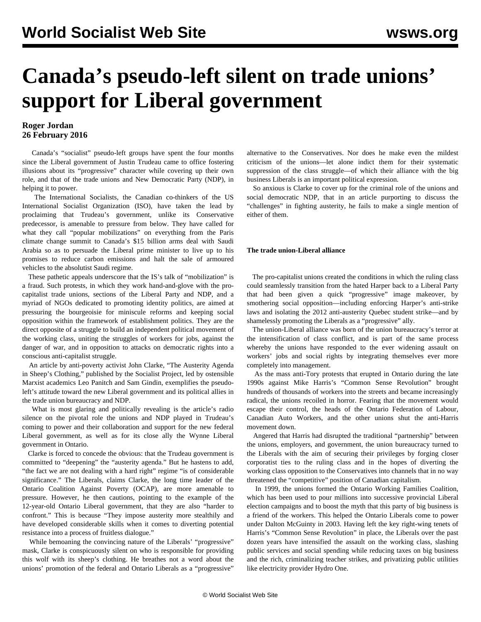## **Canada's pseudo-left silent on trade unions' support for Liberal government**

## **Roger Jordan 26 February 2016**

 Canada's "socialist" pseudo-left groups have spent the four months since the Liberal government of Justin Trudeau came to office fostering illusions about its "progressive" character while covering up their own role, and that of the trade unions and New Democratic Party (NDP), in helping it to power.

 The International Socialists, the Canadian co-thinkers of the US International Socialist Organization (ISO), have taken the lead by proclaiming that Trudeau's government, unlike its Conservative predecessor, is amenable to pressure from below. They have called for what they call "popular mobilizations" on everything from the Paris climate change summit to Canada's \$15 billion arms deal with Saudi Arabia so as to persuade the Liberal prime minister to live up to his promises to reduce carbon emissions and halt the sale of armoured vehicles to the absolutist Saudi regime.

 These pathetic appeals underscore that the IS's talk of "mobilization" is a fraud. Such protests, in which they work hand-and-glove with the procapitalist trade unions, sections of the Liberal Party and NDP, and a myriad of NGOs dedicated to promoting identity politics, are aimed at pressuring the bourgeoisie for miniscule reforms and keeping social opposition within the framework of establishment politics. They are the direct opposite of a struggle to build an independent political movement of the working class, uniting the struggles of workers for jobs, against the danger of war, and in opposition to attacks on democratic rights into a conscious anti-capitalist struggle.

 An article by anti-poverty activist John Clarke, "The Austerity Agenda in Sheep's Clothing," published by the Socialist Project, led by ostensible Marxist academics Leo Panitch and Sam Gindin, exemplifies the pseudoleft's attitude toward the new Liberal government and its political allies in the trade union bureaucracy and NDP.

 What is most glaring and politically revealing is the article's radio silence on the pivotal role the unions and NDP played in Trudeau's coming to power and their collaboration and support for the new federal Liberal government, as well as for its close ally the Wynne Liberal government in Ontario.

 Clarke is forced to concede the obvious: that the Trudeau government is committed to "deepening" the "austerity agenda." But he hastens to add, "the fact we are not dealing with a hard right" regime "is of considerable significance." The Liberals, claims Clarke, the long time leader of the Ontario Coalition Against Poverty (OCAP), are more amenable to pressure. However, he then cautions, pointing to the example of the 12-year-old Ontario Liberal government, that they are also "harder to confront." This is because "They impose austerity more stealthily and have developed considerable skills when it comes to diverting potential resistance into a process of fruitless dialogue."

 While bemoaning the convincing nature of the Liberals' "progressive" mask, Clarke is conspicuously silent on who is responsible for providing this wolf with its sheep's clothing. He breathes not a word about the unions' promotion of the federal and Ontario Liberals as a "progressive"

alternative to the Conservatives. Nor does he make even the mildest criticism of the unions—let alone indict them for their systematic suppression of the class struggle—of which their alliance with the big business Liberals is an important political expression.

 So anxious is Clarke to cover up for the criminal role of the unions and social democratic NDP, that in an article purporting to discuss the "challenges" in fighting austerity, he fails to make a single mention of either of them.

## **The trade union-Liberal alliance**

 The pro-capitalist unions created the conditions in which the ruling class could seamlessly transition from the hated Harper back to a Liberal Party that had been given a quick "progressive" image makeover, by smothering social opposition—including enforcing Harper's anti-strike laws and isolating the 2012 anti-austerity Quebec student strike—and by shamelessly promoting the Liberals as a "progressive" ally.

 The union-Liberal alliance was born of the union bureaucracy's terror at the intensification of class conflict, and is part of the same process whereby the unions have responded to the ever widening assault on workers' jobs and social rights by integrating themselves ever more completely into management.

 As the mass anti-Tory protests that erupted in Ontario during the late 1990s against Mike Harris's "Common Sense Revolution" brought hundreds of thousands of workers into the streets and became increasingly radical, the unions recoiled in horror. Fearing that the movement would escape their control, the heads of the Ontario Federation of Labour, Canadian Auto Workers, and the other unions shut the anti-Harris movement down.

 Angered that Harris had disrupted the traditional "partnership" between the unions, employers, and government, the union bureaucracy turned to the Liberals with the aim of securing their privileges by forging closer corporatist ties to the ruling class and in the hopes of diverting the working class opposition to the Conservatives into channels that in no way threatened the "competitive" position of Canadian capitalism.

 In 1999, the unions formed the Ontario Working Families Coalition, which has been used to pour millions into successive provincial Liberal election campaigns and to boost the myth that this party of big business is a friend of the workers. This helped the Ontario Liberals come to power under Dalton McGuinty in 2003. Having left the key right-wing tenets of Harris's "Common Sense Revolution" in place, the Liberals over the past dozen years have intensified the assault on the working class, slashing public services and social spending while reducing taxes on big business and the rich, criminalizing teacher strikes, and privatizing public utilities like electricity provider Hydro One.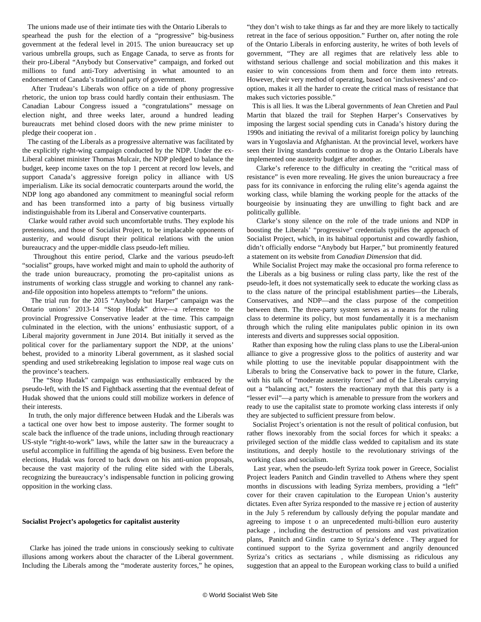The unions made use of their intimate ties with the Ontario Liberals to spearhead the push for the election of a "progressive" big-business government at the federal level in 2015. The union bureaucracy set up various umbrella groups, such as Engage Canada, to serve as fronts for their pro-Liberal "Anybody but Conservative" campaign, and forked out millions to fund anti-Tory advertising in what amounted to an endorsement of Canada's traditional party of government.

 After Trudeau's Liberals won office on a tide of phony progressive rhetoric, the union top brass could hardly contain their enthusiasm. The Canadian Labour Congress issued a "congratulations" message on election night, and three weeks later, around a hundred leading bureaucrats [met behind closed doors with the new prime minister](/en/articles/2015/11/13/cana-n13.html) to pledge their cooperat ion .

 The casting of the Liberals as a progressive alternative was facilitated by the explicitly right-wing campaign conducted by the NDP. Under the ex-Liberal cabinet minister Thomas Mulcair, the NDP pledged to balance the budget, keep income taxes on the top 1 percent at record low levels, and support Canada's aggressive foreign policy in alliance with US imperialism. Like its social democratic counterparts around the world, the NDP long ago abandoned any commitment to meaningful social reform and has been transformed into a party of big business virtually indistinguishable from its Liberal and Conservative counterparts.

 Clarke would rather avoid such uncomfortable truths. They explode his pretensions, and those of Socialist Project, to be implacable opponents of austerity, and would disrupt their political relations with the union bureaucracy and the upper-middle class pseudo-left milieu.

 Throughout this entire period, Clarke and the various pseudo-left "socialist" groups, have worked might and main to uphold the authority of the trade union bureaucracy, promoting the pro-capitalist unions as instruments of working class struggle and working to channel any rankand-file opposition into hopeless attempts to "reform" the unions.

 The trial run for the 2015 "Anybody but Harper" campaign was the Ontario unions' 2013-14 "Stop Hudak" drive—a reference to the provincial Progressive Conservative leader at the time. This campaign culminated in the election, with the unions' enthusiastic support, of a Liberal majority government in June 2014. But initially it served as the political cover for the parliamentary support the NDP, at the unions' behest, provided to a minority Liberal government, as it slashed social spending and used strikebreaking legislation to impose real wage cuts on the province's teachers.

 The "Stop Hudak" campaign was enthusiastically embraced by the pseudo-left, with the IS and Fightback asserting that the eventual defeat of Hudak showed that the unions could still mobilize workers in defence of their interests.

 In truth, the only major difference between Hudak and the Liberals was a tactical one over how best to impose austerity. The former sought to scale back the influence of the trade unions, including through reactionary US-style "right-to-work" laws, while the latter saw in the bureaucracy a useful accomplice in fulfilling the agenda of big business. Even before the elections, Hudak was forced to back down on his anti-union proposals, because the vast majority of the ruling elite sided with the Liberals, recognizing the bureaucracy's indispensable function in policing growing opposition in the working class.

## **Socialist Project's apologetics for capitalist austerity**

 Clarke has joined the trade unions in consciously seeking to cultivate illusions among workers about the character of the Liberal government. Including the Liberals among the "moderate austerity forces," he opines, "they don't wish to take things as far and they are more likely to tactically retreat in the face of serious opposition." Further on, after noting the role of the Ontario Liberals in enforcing austerity, he writes of both levels of government, "They are all regimes that are relatively less able to withstand serious challenge and social mobilization and this makes it easier to win concessions from them and force them into retreats. However, their very method of operating, based on 'inclusiveness' and cooption, makes it all the harder to create the critical mass of resistance that makes such victories possible."

 This is all lies. It was the Liberal governments of Jean Chretien and Paul Martin that blazed the trail for Stephen Harper's Conservatives by imposing the largest social spending cuts in Canada's history during the 1990s and initiating the revival of a militarist foreign policy by launching wars in Yugoslavia and Afghanistan. At the provincial level, workers have seen their living standards continue to drop as the Ontario Liberals have implemented one austerity budget after another.

 Clarke's reference to the difficulty in creating the "critical mass of resistance" is even more revealing. He gives the union bureaucracy a free pass for its connivance in enforcing the ruling elite's agenda against the working class, while blaming the working people for the attacks of the bourgeoisie by insinuating they are unwilling to fight back and are politically gullible.

 Clarke's stony silence on the role of the trade unions and NDP in boosting the Liberals' "progressive" credentials typifies the approach of Socialist Project, which, in its habitual opportunist and cowardly fashion, didn't officially endorse "Anybody but Harper," but prominently featured a statement on its website from *Canadian Dimension* that did.

 While Socialist Project may make the occasional pro forma reference to the Liberals as a big business or ruling class party, like the rest of the pseudo-left, it does not systematically seek to educate the working class as to the class nature of the principal establishment parties—the Liberals, Conservatives, and NDP—and the class purpose of the competition between them. The three-party system serves as a means for the ruling class to determine its policy, but most fundamentally it is a mechanism through which the ruling elite manipulates public opinion in its own interests and diverts and suppresses social opposition.

 Rather than exposing how the ruling class plans to use the Liberal-union alliance to give a progressive gloss to the politics of austerity and war while plotting to use the inevitable popular disappointment with the Liberals to bring the Conservative back to power in the future, Clarke, with his talk of "moderate austerity forces" and of the Liberals carrying out a "balancing act," fosters the reactionary myth that this party is a "lesser evil"—a party which is amenable to pressure from the workers and ready to use the capitalist state to promote working class interests if only they are subjected to sufficient pressure from below.

 Socialist Project's orientation is not the result of political confusion, but rather flows inexorably from the social forces for which it speaks: a privileged section of the middle class wedded to capitalism and its state institutions, and deeply hostile to the revolutionary strivings of the working class and socialism.

 Last year, when the pseudo-left Syriza took power in Greece, Socialist Project leaders Panitch and Gindin travelled to Athens where they spent months in discussions with leading Syriza members, providing a "left" cover for their craven capitulation to the European Union's austerity dictates. Even after Syriza responded to the massive re j ection of austerity in the July 5 referendum by callously defying the popular mandate and agreeing to impose t o an unprecedented multi-billion euro austerity package , including the destruction of pensions and vast privatization plans, [Panitch and Gindin](/en/articles/2015/09/19/cagk-s19.html) came to Syriza's defence . They argued for continued support to the Syriza government and angrily denounced Syriza's critics as sectarians , while dismissing as ridiculous any suggestion that an appeal to the European working class to build a unified